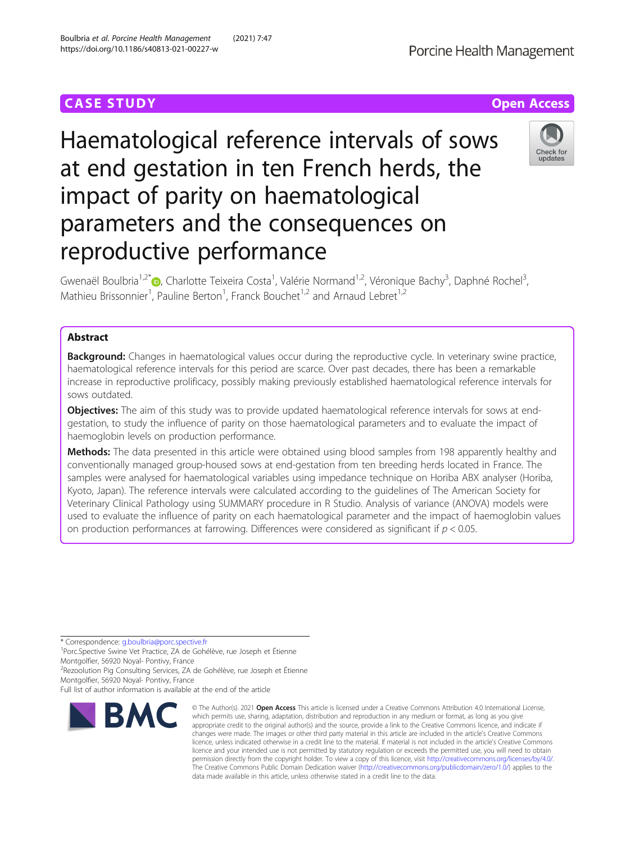# **CASE STUDY CASE STUDY Open Access**

# Haematological reference intervals of sows at end gestation in ten French herds, the impact of parity on haematological parameters and the consequences on reproductive performance

Gwenaël Boulbria<sup>1[,](http://orcid.org/0000-0001-9169-4420)2\*</sup>®, Charlotte Teixeira Costa<sup>1</sup>, Valérie Normand<sup>1,2</sup>, Véronique Bachy<sup>3</sup>, Daphné Rochel<sup>3</sup> , Mathieu Brissonnier<sup>1</sup>, Pauline Berton<sup>1</sup>, Franck Bouchet<sup>1,2</sup> and Arnaud Lebret<sup>1,2</sup>

# Abstract

**Background:** Changes in haematological values occur during the reproductive cycle. In veterinary swine practice, haematological reference intervals for this period are scarce. Over past decades, there has been a remarkable increase in reproductive prolificacy, possibly making previously established haematological reference intervals for sows outdated.

**Objectives:** The aim of this study was to provide updated haematological reference intervals for sows at endgestation, to study the influence of parity on those haematological parameters and to evaluate the impact of haemoglobin levels on production performance.

Methods: The data presented in this article were obtained using blood samples from 198 apparently healthy and conventionally managed group-housed sows at end-gestation from ten breeding herds located in France. The samples were analysed for haematological variables using impedance technique on Horiba ABX analyser (Horiba, Kyoto, Japan). The reference intervals were calculated according to the guidelines of The American Society for Veterinary Clinical Pathology using SUMMARY procedure in R Studio. Analysis of variance (ANOVA) models were used to evaluate the influence of parity on each haematological parameter and the impact of haemoglobin values on production performances at farrowing. Differences were considered as significant if  $p < 0.05$ .

\* Correspondence: [g.boulbria@porc.spective.fr](mailto:g.boulbria@porc.spective.fr) <sup>1</sup>

<sup>1</sup>Porc.Spective Swine Vet Practice. ZA de Gohélève, rue Joseph et Étienne Montgolfier, 56920 Noyal- Pontivy, France <sup>2</sup>Rezoolution Pig Consulting Services, ZA de Gohélève, rue Joseph et Étienne

Montgolfier, 56920 Noyal- Pontivy, France

**RM** 



© The Author(s), 2021 **Open Access** This article is licensed under a Creative Commons Attribution 4.0 International License,



Full list of author information is available at the end of the article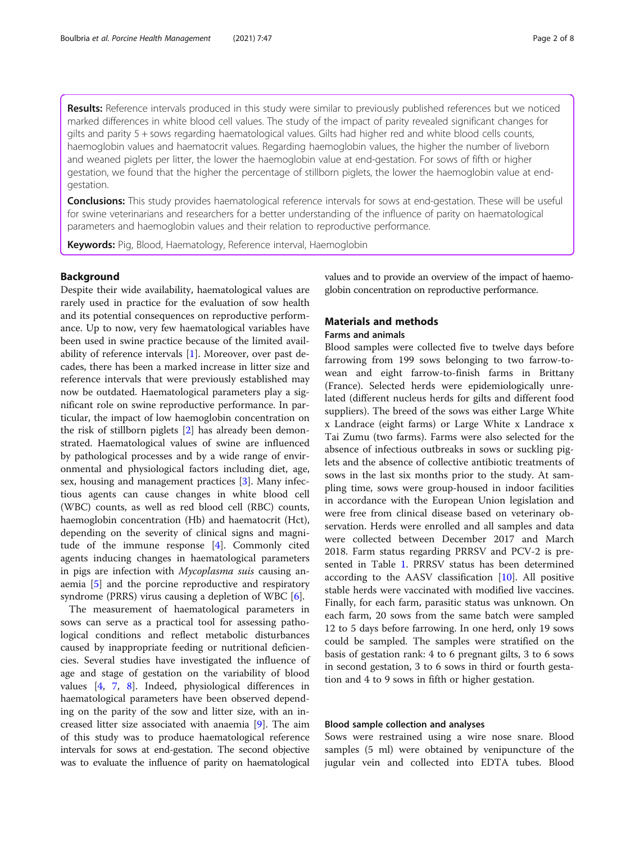Results: Reference intervals produced in this study were similar to previously published references but we noticed marked differences in white blood cell values. The study of the impact of parity revealed significant changes for gilts and parity 5 + sows regarding haematological values. Gilts had higher red and white blood cells counts, haemoglobin values and haematocrit values. Regarding haemoglobin values, the higher the number of liveborn and weaned piglets per litter, the lower the haemoglobin value at end-gestation. For sows of fifth or higher gestation, we found that the higher the percentage of stillborn piglets, the lower the haemoglobin value at endgestation.

**Conclusions:** This study provides haematological reference intervals for sows at end-gestation. These will be useful for swine veterinarians and researchers for a better understanding of the influence of parity on haematological parameters and haemoglobin values and their relation to reproductive performance.

Keywords: Pig, Blood, Haematology, Reference interval, Haemoglobin

# Background

Despite their wide availability, haematological values are rarely used in practice for the evaluation of sow health and its potential consequences on reproductive performance. Up to now, very few haematological variables have been used in swine practice because of the limited availability of reference intervals [[1\]](#page-6-0). Moreover, over past decades, there has been a marked increase in litter size and reference intervals that were previously established may now be outdated. Haematological parameters play a significant role on swine reproductive performance. In particular, the impact of low haemoglobin concentration on the risk of stillborn piglets [\[2](#page-6-0)] has already been demonstrated. Haematological values of swine are influenced by pathological processes and by a wide range of environmental and physiological factors including diet, age, sex, housing and management practices [\[3](#page-6-0)]. Many infectious agents can cause changes in white blood cell (WBC) counts, as well as red blood cell (RBC) counts, haemoglobin concentration (Hb) and haematocrit (Hct), depending on the severity of clinical signs and magnitude of the immune response [[4\]](#page-6-0). Commonly cited agents inducing changes in haematological parameters in pigs are infection with Mycoplasma suis causing anaemia [[5\]](#page-6-0) and the porcine reproductive and respiratory syndrome (PRRS) virus causing a depletion of WBC [[6\]](#page-6-0).

The measurement of haematological parameters in sows can serve as a practical tool for assessing pathological conditions and reflect metabolic disturbances caused by inappropriate feeding or nutritional deficiencies. Several studies have investigated the influence of age and stage of gestation on the variability of blood values [[4](#page-6-0), [7](#page-6-0), [8\]](#page-6-0). Indeed, physiological differences in haematological parameters have been observed depending on the parity of the sow and litter size, with an increased litter size associated with anaemia [\[9\]](#page-6-0). The aim of this study was to produce haematological reference intervals for sows at end-gestation. The second objective was to evaluate the influence of parity on haematological

values and to provide an overview of the impact of haemoglobin concentration on reproductive performance.

# Materials and methods

# Farms and animals

Blood samples were collected five to twelve days before farrowing from 199 sows belonging to two farrow-towean and eight farrow-to-finish farms in Brittany (France). Selected herds were epidemiologically unrelated (different nucleus herds for gilts and different food suppliers). The breed of the sows was either Large White x Landrace (eight farms) or Large White x Landrace x Tai Zumu (two farms). Farms were also selected for the absence of infectious outbreaks in sows or suckling piglets and the absence of collective antibiotic treatments of sows in the last six months prior to the study. At sampling time, sows were group-housed in indoor facilities in accordance with the European Union legislation and were free from clinical disease based on veterinary observation. Herds were enrolled and all samples and data were collected between December 2017 and March 2018. Farm status regarding PRRSV and PCV-2 is presented in Table [1.](#page-2-0) PRRSV status has been determined according to the AASV classification  $[10]$  $[10]$ . All positive stable herds were vaccinated with modified live vaccines. Finally, for each farm, parasitic status was unknown. On each farm, 20 sows from the same batch were sampled 12 to 5 days before farrowing. In one herd, only 19 sows could be sampled. The samples were stratified on the basis of gestation rank: 4 to 6 pregnant gilts, 3 to 6 sows in second gestation, 3 to 6 sows in third or fourth gestation and 4 to 9 sows in fifth or higher gestation.

# Blood sample collection and analyses

Sows were restrained using a wire nose snare. Blood samples (5 ml) were obtained by venipuncture of the jugular vein and collected into EDTA tubes. Blood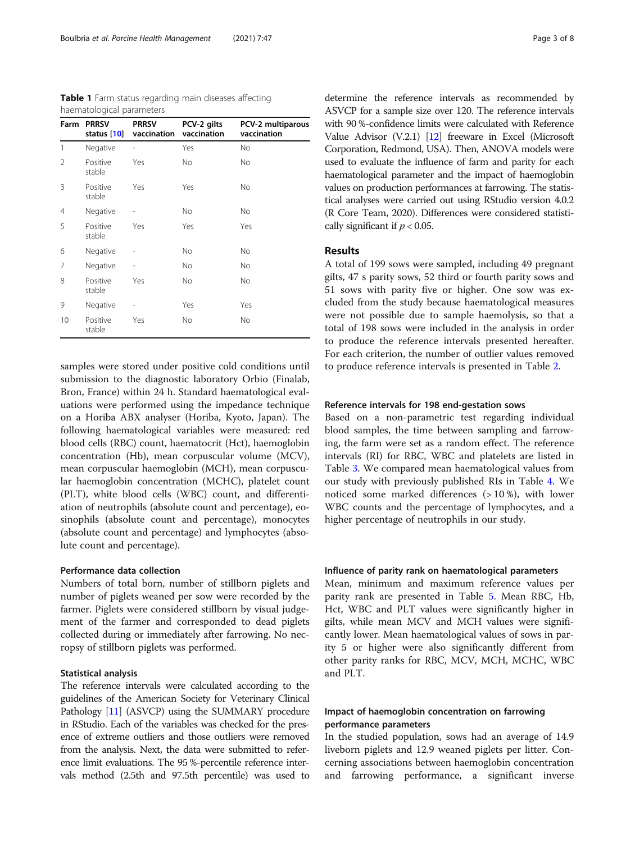<span id="page-2-0"></span>Table 1 Farm status regarding main diseases affecting haematological parameters

| Farm           | <b>PRRSV</b><br>status [10] | <b>PRRSV</b><br>vaccination | PCV-2 gilts<br>vaccination | PCV-2 multiparous<br>vaccination |
|----------------|-----------------------------|-----------------------------|----------------------------|----------------------------------|
| 1              | Negative                    | L,                          | Yes                        | No.                              |
| $\mathfrak{D}$ | Positive<br>stable          | Yes                         | No.                        | No.                              |
| 3              | Positive<br>stable          | Yes                         | Yes                        | No.                              |
| $\overline{4}$ | Negative                    |                             | No.                        | No.                              |
| 5              | Positive<br>stable          | Yes                         | Yes                        | Yes                              |
| 6              | Negative                    |                             | No                         | <b>No</b>                        |
| 7              | Negative                    | -                           | No                         | <b>No</b>                        |
| 8              | Positive<br>stable          | Yes                         | No                         | <b>No</b>                        |
| 9              | Negative                    |                             | Yes                        | Yes                              |
| 10             | Positive<br>stable          | Yes                         | No                         | <b>No</b>                        |

samples were stored under positive cold conditions until submission to the diagnostic laboratory Orbio (Finalab, Bron, France) within 24 h. Standard haematological evaluations were performed using the impedance technique on a Horiba ABX analyser (Horiba, Kyoto, Japan). The following haematological variables were measured: red blood cells (RBC) count, haematocrit (Hct), haemoglobin concentration (Hb), mean corpuscular volume (MCV), mean corpuscular haemoglobin (MCH), mean corpuscular haemoglobin concentration (MCHC), platelet count (PLT), white blood cells (WBC) count, and differentiation of neutrophils (absolute count and percentage), eosinophils (absolute count and percentage), monocytes (absolute count and percentage) and lymphocytes (absolute count and percentage).

# Performance data collection

Numbers of total born, number of stillborn piglets and number of piglets weaned per sow were recorded by the farmer. Piglets were considered stillborn by visual judgement of the farmer and corresponded to dead piglets collected during or immediately after farrowing. No necropsy of stillborn piglets was performed.

# Statistical analysis

The reference intervals were calculated according to the guidelines of the American Society for Veterinary Clinical Pathology [\[11\]](#page-6-0) (ASVCP) using the SUMMARY procedure in RStudio. Each of the variables was checked for the presence of extreme outliers and those outliers were removed from the analysis. Next, the data were submitted to reference limit evaluations. The 95 %-percentile reference intervals method (2.5th and 97.5th percentile) was used to determine the reference intervals as recommended by ASVCP for a sample size over 120. The reference intervals with 90 %-confidence limits were calculated with Reference Value Advisor (V.2.1) [\[12\]](#page-6-0) freeware in Excel (Microsoft Corporation, Redmond, USA). Then, ANOVA models were used to evaluate the influence of farm and parity for each haematological parameter and the impact of haemoglobin values on production performances at farrowing. The statistical analyses were carried out using RStudio version 4.0.2 (R Core Team, 2020). Differences were considered statistically significant if  $p < 0.05$ .

# Results

A total of 199 sows were sampled, including 49 pregnant gilts, 47 s parity sows, 52 third or fourth parity sows and 51 sows with parity five or higher. One sow was excluded from the study because haematological measures were not possible due to sample haemolysis, so that a total of 198 sows were included in the analysis in order to produce the reference intervals presented hereafter. For each criterion, the number of outlier values removed to produce reference intervals is presented in Table [2.](#page-3-0)

# Reference intervals for 198 end-gestation sows

Based on a non-parametric test regarding individual blood samples, the time between sampling and farrowing, the farm were set as a random effect. The reference intervals (RI) for RBC, WBC and platelets are listed in Table [3.](#page-3-0) We compared mean haematological values from our study with previously published RIs in Table [4](#page-4-0). We noticed some marked differences (> 10 %), with lower WBC counts and the percentage of lymphocytes, and a higher percentage of neutrophils in our study.

#### Influence of parity rank on haematological parameters

Mean, minimum and maximum reference values per parity rank are presented in Table [5](#page-4-0). Mean RBC, Hb, Hct, WBC and PLT values were significantly higher in gilts, while mean MCV and MCH values were significantly lower. Mean haematological values of sows in parity 5 or higher were also significantly different from other parity ranks for RBC, MCV, MCH, MCHC, WBC and PLT.

# Impact of haemoglobin concentration on farrowing performance parameters

In the studied population, sows had an average of 14.9 liveborn piglets and 12.9 weaned piglets per litter. Concerning associations between haemoglobin concentration and farrowing performance, a significant inverse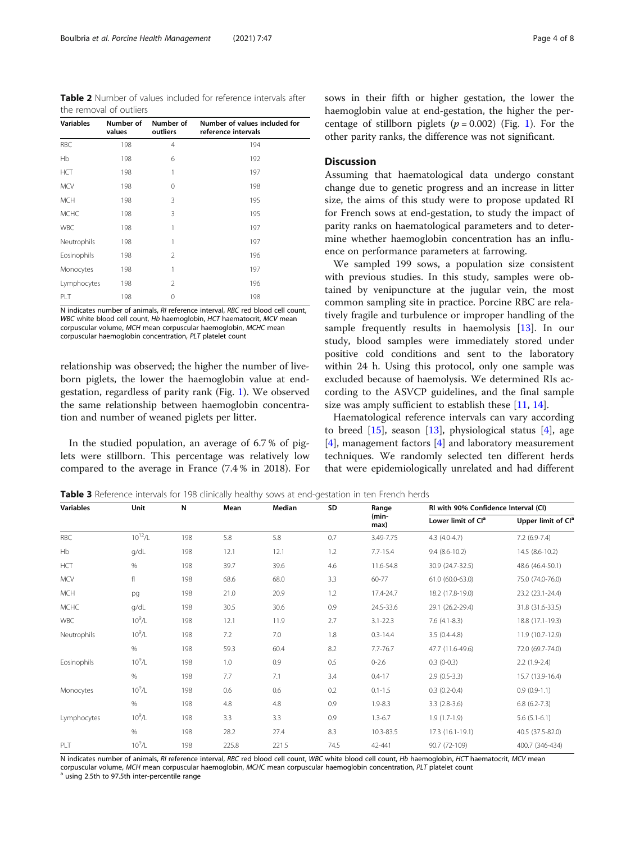<span id="page-3-0"></span>Table 2 Number of values included for reference intervals after the removal of outliers

| <b>Variables</b> | Number of | Number of      | Number of values included for |
|------------------|-----------|----------------|-------------------------------|
|                  | values    | outliers       | reference intervals           |
| <b>RBC</b>       | 198       | $\overline{4}$ | 194                           |
| Hb               | 198       | 6              | 192                           |
| HCT              | 198       | 1              | 197                           |
| <b>MCV</b>       | 198       | $\Omega$       | 198                           |
| <b>MCH</b>       | 198       | 3              | 195                           |
| <b>MCHC</b>      | 198       | 3              | 195                           |
| <b>WBC</b>       | 198       | 1              | 197                           |
| Neutrophils      | 198       | 1              | 197                           |
| Eosinophils      | 198       | $\overline{2}$ | 196                           |
| Monocytes        | 198       | 1              | 197                           |
| Lymphocytes      | 198       | $\mathfrak{D}$ | 196                           |
| PLT              | 198       | 0              | 198                           |

N indicates number of animals, RI reference interval, RBC red blood cell count,<br>WBC white blood cell count. Hh baemoglobin, HCT baematocrit, MCV mean WBC white blood cell count, Hb haemoglobin, HCT haematocrit, MCV mean<br>corpuscular volume, MCH mean corpuscular haemoglobin, MCHC mean corpuscular volume, MCH mean corpuscular haemoglobin, MCHC mean corpuscular haemoglobin concentration, PLT platelet count

relationship was observed; the higher the number of liveborn piglets, the lower the haemoglobin value at endgestation, regardless of parity rank (Fig. [1](#page-5-0)). We observed the same relationship between haemoglobin concentration and number of weaned piglets per litter.

In the studied population, an average of 6.7 % of piglets were stillborn. This percentage was relatively low compared to the average in France (7.4 % in 2018). For

sows in their fifth or higher gestation, the lower the haemoglobin value at end-gestation, the higher the percentage of stillborn piglets ( $p = 0.002$ ) (Fig. [1](#page-5-0)). For the other parity ranks, the difference was not significant.

# **Discussion**

Assuming that haematological data undergo constant change due to genetic progress and an increase in litter size, the aims of this study were to propose updated RI for French sows at end-gestation, to study the impact of parity ranks on haematological parameters and to determine whether haemoglobin concentration has an influence on performance parameters at farrowing.

We sampled 199 sows, a population size consistent with previous studies. In this study, samples were obtained by venipuncture at the jugular vein, the most common sampling site in practice. Porcine RBC are relatively fragile and turbulence or improper handling of the sample frequently results in haemolysis [\[13\]](#page-7-0). In our study, blood samples were immediately stored under positive cold conditions and sent to the laboratory within 24 h. Using this protocol, only one sample was excluded because of haemolysis. We determined RIs according to the ASVCP guidelines, and the final sample size was amply sufficient to establish these  $[11, 14]$  $[11, 14]$  $[11, 14]$ .

Haematological reference intervals can vary according to breed  $[15]$  $[15]$ , season  $[13]$  $[13]$ , physiological status  $[4]$  $[4]$ , age [[4\]](#page-6-0), management factors [[4\]](#page-6-0) and laboratory measurement techniques. We randomly selected ten different herds that were epidemiologically unrelated and had different

Table 3 Reference intervals for 198 clinically healthy sows at end-gestation in ten French herds

| <b>Variables</b> | Unit        | N   | Mean  | Median | <b>SD</b> | Range<br>(min-<br>max) | RI with 90% Confidence Interval (CI) |                                |
|------------------|-------------|-----|-------|--------|-----------|------------------------|--------------------------------------|--------------------------------|
|                  |             |     |       |        |           |                        | Lower limit of Cl <sup>a</sup>       | Upper limit of Cl <sup>a</sup> |
| <b>RBC</b>       | $10^{12}/L$ | 198 | 5.8   | 5.8    | 0.7       | 3.49-7.75              | $4.3(4.0-4.7)$                       | $7.2(6.9-7.4)$                 |
| Hb               | g/dL        | 198 | 12.1  | 12.1   | 1.2       | $7.7 - 15.4$           | $9.4(8.6-10.2)$                      | 14.5 (8.6-10.2)                |
| <b>HCT</b>       | %           | 198 | 39.7  | 39.6   | 4.6       | 11.6-54.8              | 30.9 (24.7-32.5)                     | 48.6 (46.4-50.1)               |
| <b>MCV</b>       | fl          | 198 | 68.6  | 68.0   | 3.3       | 60-77                  | 61.0 (60.0-63.0)                     | 75.0 (74.0-76.0)               |
| <b>MCH</b>       | pg          | 198 | 21.0  | 20.9   | 1.2       | 17.4-24.7              | 18.2 (17.8-19.0)                     | 23.2 (23.1-24.4)               |
| <b>MCHC</b>      | g/dL        | 198 | 30.5  | 30.6   | 0.9       | 24.5-33.6              | 29.1 (26.2-29.4)                     | 31.8 (31.6-33.5)               |
| <b>WBC</b>       | $10^9$ /L   | 198 | 12.1  | 11.9   | 2.7       | $3.1 - 22.3$           | $7.6(4.1-8.3)$                       | 18.8 (17.1-19.3)               |
| Neutrophils      | $10^9$ /L   | 198 | 7.2   | 7.0    | 1.8       | $0.3 - 14.4$           | $3.5(0.4-4.8)$                       | 11.9 (10.7-12.9)               |
|                  | $\%$        | 198 | 59.3  | 60.4   | 8.2       | $7.7 - 76.7$           | 47.7 (11.6-49.6)                     | 72.0 (69.7-74.0)               |
| Eosinophils      | $10^9$ /L   | 198 | 1.0   | 0.9    | 0.5       | $0 - 2.6$              | $0.3(0-0.3)$                         | $2.2(1.9-2.4)$                 |
|                  | $\%$        | 198 | 7.7   | 7.1    | 3.4       | $0.4 - 17$             | $2.9(0.5-3.3)$                       | 15.7 (13.9-16.4)               |
| Monocytes        | $10^9$ /L   | 198 | 0.6   | 0.6    | 0.2       | $0.1 - 1.5$            | $0.3(0.2-0.4)$                       | $0.9(0.9-1.1)$                 |
|                  | $\%$        | 198 | 4.8   | 4.8    | 0.9       | $1.9 - 8.3$            | $3.3(2.8-3.6)$                       | $6.8(6.2-7.3)$                 |
| Lymphocytes      | $10^9/L$    | 198 | 3.3   | 3.3    | 0.9       | $1.3 - 6.7$            | $1.9(1.7-1.9)$                       | $5.6(5.1-6.1)$                 |
|                  | $\%$        | 198 | 28.2  | 27.4   | 8.3       | 10.3-83.5              | 17.3 (16.1-19.1)                     | 40.5 (37.5-82.0)               |
| PLT              | $10^9/L$    | 198 | 225.8 | 221.5  | 74.5      | 42-441                 | 90.7 (72-109)                        | 400.7 (346-434)                |

N indicates number of animals, RI reference interval, RBC red blood cell count, WBC white blood cell count, Hb haemoglobin, HCT haematocrit, MCV mean corpuscular volume, MCH mean corpuscular haemoglobin, MCHC mean corpuscular haemoglobin concentration, PLT platelet count a using 2.5th to 97.5th inter-percentile range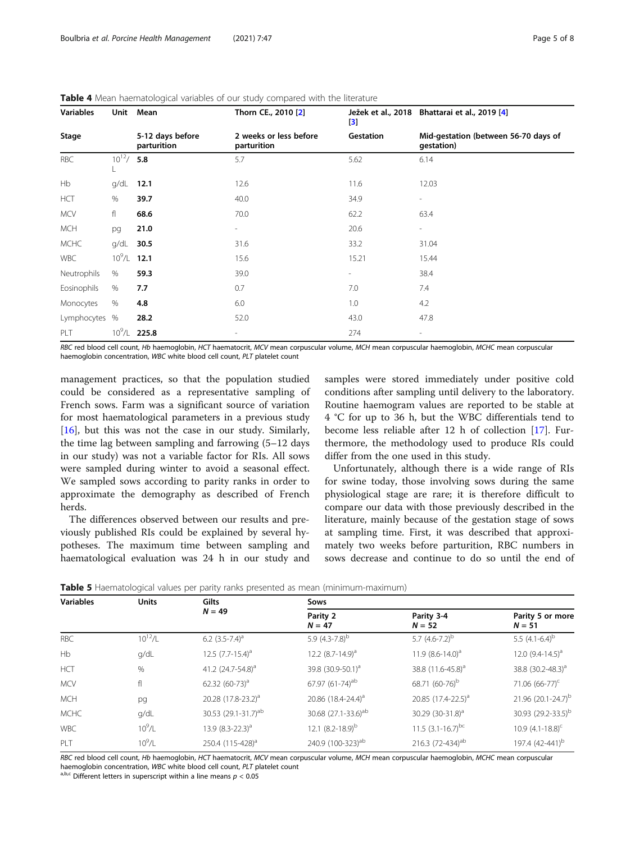| <b>Variables</b> | Unit<br>Mean |                                 | Thorn CE., 2010 [2]                   | $\mathbf{B}$             | Ježek et al., 2018 Bhattarai et al., 2019 [4]      |  |
|------------------|--------------|---------------------------------|---------------------------------------|--------------------------|----------------------------------------------------|--|
| Stage            |              | 5-12 days before<br>parturition | 2 weeks or less before<br>parturition | Gestation                | Mid-gestation (between 56-70 days of<br>gestation) |  |
| <b>RBC</b>       | $10^{12}$ /  | 5.8                             | 5.7                                   | 5.62                     | 6.14                                               |  |
| Hb               | g/dL         | 12.1                            | 12.6                                  | 11.6                     | 12.03                                              |  |
| <b>HCT</b>       | %            | 39.7                            | 40.0                                  | 34.9                     | $\overline{\phantom{a}}$                           |  |
| <b>MCV</b>       | fl           | 68.6                            | 70.0                                  | 62.2                     | 63.4                                               |  |
| <b>MCH</b>       | pg           | 21.0                            |                                       | 20.6                     | $\overline{\phantom{0}}$                           |  |
| <b>MCHC</b>      | g/dL         | 30.5                            | 31.6                                  | 33.2                     | 31.04                                              |  |
| <b>WBC</b>       | $10^9$ /L    | 12.1                            | 15.6                                  | 15.21                    | 15.44                                              |  |
| Neutrophils      | %            | 59.3                            | 39.0                                  | $\overline{\phantom{0}}$ | 38.4                                               |  |
| Eosinophils      | %            | 7.7                             | 0.7                                   | 7.0                      | 7.4                                                |  |
| Monocytes        | %            | 4.8                             | 6.0                                   | 1.0                      | 4.2                                                |  |
| Lymphocytes      | %            | 28.2                            | 52.0                                  | 43.0                     | 47.8                                               |  |
| PLT              | $10^9$ /L    | 225.8                           | $\overline{\phantom{a}}$              | 274                      | $\overline{\phantom{a}}$                           |  |

<span id="page-4-0"></span>Table 4 Mean haematological variables of our study compared with the literature

RBC red blood cell count, Hb haemoglobin, HCT haematocrit, MCV mean corpuscular volume, MCH mean corpuscular haemoglobin, MCHC mean corpuscular haemoglobin concentration, WBC white blood cell count, PLT platelet count

management practices, so that the population studied could be considered as a representative sampling of French sows. Farm was a significant source of variation for most haematological parameters in a previous study [[16\]](#page-7-0), but this was not the case in our study. Similarly, the time lag between sampling and farrowing (5–12 days in our study) was not a variable factor for RIs. All sows were sampled during winter to avoid a seasonal effect. We sampled sows according to parity ranks in order to approximate the demography as described of French herds.

The differences observed between our results and previously published RIs could be explained by several hypotheses. The maximum time between sampling and haematological evaluation was 24 h in our study and samples were stored immediately under positive cold conditions after sampling until delivery to the laboratory. Routine haemogram values are reported to be stable at 4 °C for up to 36 h, but the WBC differentials tend to become less reliable after 12 h of collection [\[17](#page-7-0)]. Furthermore, the methodology used to produce RIs could differ from the one used in this study.

Unfortunately, although there is a wide range of RIs for swine today, those involving sows during the same physiological stage are rare; it is therefore difficult to compare our data with those previously described in the literature, mainly because of the gestation stage of sows at sampling time. First, it was described that approximately two weeks before parturition, RBC numbers in sows decrease and continue to do so until the end of

| <b>Table 5</b> Haematological values per parity ranks presented as mean (minimum-maximum) |  |  |
|-------------------------------------------------------------------------------------------|--|--|
|                                                                                           |  |  |
|                                                                                           |  |  |

| <b>Variables</b> | <b>Units</b> | <b>Gilts</b>                    | Sows                            |                               |                                |  |  |
|------------------|--------------|---------------------------------|---------------------------------|-------------------------------|--------------------------------|--|--|
|                  |              | $N = 49$                        | Parity 2<br>$N = 47$            | Parity 3-4<br>$N = 52$        | Parity 5 or more<br>$N = 51$   |  |  |
| <b>RBC</b>       | $10^{12}$ /L | 6.2 $(3.5-7.4)^a$               | 5.9 $(4.3-7.8)^{b}$             | 5.7 $(4.6-7.2)^b$             | 5.5 $(4.1-6.4)^{b}$            |  |  |
| Hb               | g/dL         | 12.5 $(7.7-15.4)^a$             | 12.2 $(8.7-14.9)^a$             | 11.9 $(8.6-14.0)^a$           | 12.0 $(9.4 - 14.5)^{a}$        |  |  |
| <b>HCT</b>       | %            | 41.2 $(24.7 - 54.8)^a$          | 39.8 (30.9-50.1) <sup>a</sup>   | 38.8 (11.6-45.8) <sup>a</sup> | 38.8 (30.2-48.3) <sup>a</sup>  |  |  |
| <b>MCV</b>       | fl           | 62.32 $(60-73)^a$               | 67.97 (61-74) <sup>ab</sup>     | 68.71 (60-76) <sup>b</sup>    | 71.06 $(66-77)^{c}$            |  |  |
| <b>MCH</b>       | pq           | 20.28 $(17.8-23.2)^a$           | 20.86 (18.4-24.4) <sup>a</sup>  | 20.85 $(17.4 - 22.5)^a$       | 21.96 (20.1-24.7) <sup>b</sup> |  |  |
| <b>MCHC</b>      | g/dL         | 30.53 (29.1-31.7) <sup>ab</sup> | 30.68 (27.1-33.6) <sup>ab</sup> | 30.29 $(30-31.8)^a$           | 30.93 (29.2-33.5) <sup>b</sup> |  |  |
| <b>WBC</b>       | $10^9$ /L    | 13.9 $(8.3 - 22.3)^a$           | 12.1 $(8.2 - 18.9)^b$           | 11.5 $(3.1 - 16.7)^{bc}$      | $10.9(4.1 - 18.8)^{c}$         |  |  |
| PLT              | $10^9$ /L    | 250.4 (115-428) <sup>a</sup>    | 240.9 (100-323) <sup>ab</sup>   | 216.3 (72-434) <sup>ab</sup>  | 197.4 (42-441) <sup>b</sup>    |  |  |

RBC red blood cell count, Hb haemoglobin, HCT haematocrit, MCV mean corpuscular volume, MCH mean corpuscular haemoglobin, MCHC mean corpuscular haemoglobin, MCHC mean corpuscular haemoglobin, mCHC mean corpuscular

a,b,c Different letters in superscript within a line means  $p < 0.05$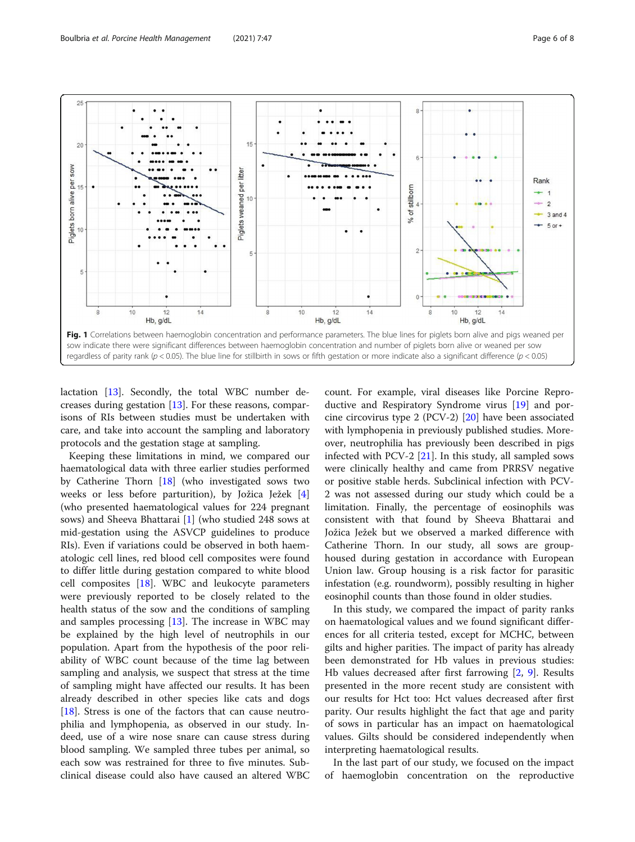<span id="page-5-0"></span>

lactation [\[13\]](#page-7-0). Secondly, the total WBC number decreases during gestation [\[13](#page-7-0)]. For these reasons, comparisons of RIs between studies must be undertaken with care, and take into account the sampling and laboratory protocols and the gestation stage at sampling.

Keeping these limitations in mind, we compared our haematological data with three earlier studies performed by Catherine Thorn [\[18\]](#page-7-0) (who investigated sows two weeks or less before parturition), by Jožica Ježek [\[4](#page-6-0)] (who presented haematological values for 224 pregnant sows) and Sheeva Bhattarai [[1\]](#page-6-0) (who studied 248 sows at mid-gestation using the ASVCP guidelines to produce RIs). Even if variations could be observed in both haematologic cell lines, red blood cell composites were found to differ little during gestation compared to white blood cell composites [[18\]](#page-7-0). WBC and leukocyte parameters were previously reported to be closely related to the health status of the sow and the conditions of sampling and samples processing [[13\]](#page-7-0). The increase in WBC may be explained by the high level of neutrophils in our population. Apart from the hypothesis of the poor reliability of WBC count because of the time lag between sampling and analysis, we suspect that stress at the time of sampling might have affected our results. It has been already described in other species like cats and dogs [[18\]](#page-7-0). Stress is one of the factors that can cause neutrophilia and lymphopenia, as observed in our study. Indeed, use of a wire nose snare can cause stress during blood sampling. We sampled three tubes per animal, so each sow was restrained for three to five minutes. Subclinical disease could also have caused an altered WBC

count. For example, viral diseases like Porcine Reproductive and Respiratory Syndrome virus [[19](#page-7-0)] and porcine circovirus type 2 (PCV-2) [[20\]](#page-7-0) have been associated with lymphopenia in previously published studies. Moreover, neutrophilia has previously been described in pigs infected with PCV-2 [[21\]](#page-7-0). In this study, all sampled sows were clinically healthy and came from PRRSV negative or positive stable herds. Subclinical infection with PCV-2 was not assessed during our study which could be a limitation. Finally, the percentage of eosinophils was consistent with that found by Sheeva Bhattarai and Jožica Ježek but we observed a marked difference with Catherine Thorn. In our study, all sows are grouphoused during gestation in accordance with European Union law. Group housing is a risk factor for parasitic infestation (e.g. roundworm), possibly resulting in higher eosinophil counts than those found in older studies.

In this study, we compared the impact of parity ranks on haematological values and we found significant differences for all criteria tested, except for MCHC, between gilts and higher parities. The impact of parity has already been demonstrated for Hb values in previous studies: Hb values decreased after first farrowing [[2,](#page-6-0) [9](#page-6-0)]. Results presented in the more recent study are consistent with our results for Hct too: Hct values decreased after first parity. Our results highlight the fact that age and parity of sows in particular has an impact on haematological values. Gilts should be considered independently when interpreting haematological results.

In the last part of our study, we focused on the impact of haemoglobin concentration on the reproductive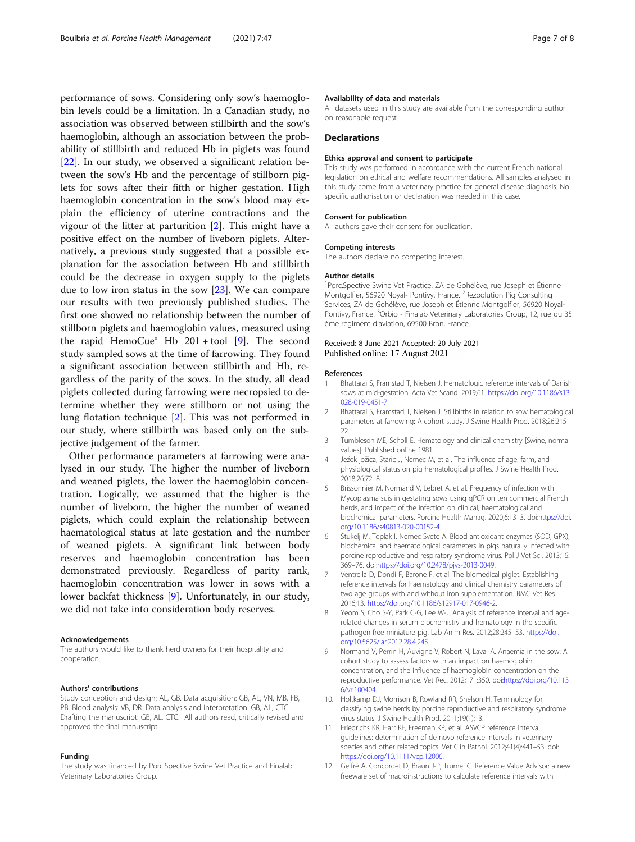<span id="page-6-0"></span>performance of sows. Considering only sow's haemoglobin levels could be a limitation. In a Canadian study, no association was observed between stillbirth and the sow's haemoglobin, although an association between the probability of stillbirth and reduced Hb in piglets was found [[22\]](#page-7-0). In our study, we observed a significant relation between the sow's Hb and the percentage of stillborn piglets for sows after their fifth or higher gestation. High haemoglobin concentration in the sow's blood may explain the efficiency of uterine contractions and the vigour of the litter at parturition [2]. This might have a positive effect on the number of liveborn piglets. Alternatively, a previous study suggested that a possible explanation for the association between Hb and stillbirth could be the decrease in oxygen supply to the piglets due to low iron status in the sow [\[23](#page-7-0)]. We can compare our results with two previously published studies. The first one showed no relationship between the number of stillborn piglets and haemoglobin values, measured using the rapid HemoCue® Hb  $201 + \text{tool}$  [9]. The second study sampled sows at the time of farrowing. They found a significant association between stillbirth and Hb, regardless of the parity of the sows. In the study, all dead piglets collected during farrowing were necropsied to determine whether they were stillborn or not using the lung flotation technique [2]. This was not performed in our study, where stillbirth was based only on the subjective judgement of the farmer.

Other performance parameters at farrowing were analysed in our study. The higher the number of liveborn and weaned piglets, the lower the haemoglobin concentration. Logically, we assumed that the higher is the number of liveborn, the higher the number of weaned piglets, which could explain the relationship between haematological status at late gestation and the number of weaned piglets. A significant link between body reserves and haemoglobin concentration has been demonstrated previously. Regardless of parity rank, haemoglobin concentration was lower in sows with a lower backfat thickness [9]. Unfortunately, in our study, we did not take into consideration body reserves.

#### Acknowledgements

The authors would like to thank herd owners for their hospitality and cooperation.

#### Authors' contributions

Study conception and design: AL, GB. Data acquisition: GB, AL, VN, MB, FB, PB. Blood analysis: VB, DR. Data analysis and interpretation: GB, AL, CTC. Drafting the manuscript: GB, AL, CTC. All authors read, critically revised and approved the final manuscript.

#### Funding

The study was financed by Porc.Spective Swine Vet Practice and Finalab Veterinary Laboratories Group.

#### Availability of data and materials

All datasets used in this study are available from the corresponding author on reasonable request.

#### **Declarations**

#### Ethics approval and consent to participate

This study was performed in accordance with the current French national legislation on ethical and welfare recommendations. All samples analysed in this study come from a veterinary practice for general disease diagnosis. No specific authorisation or declaration was needed in this case.

#### Consent for publication

Competing interests

All authors gave their consent for publication.

#### The authors declare no competing interest.

#### Author details

<sup>1</sup>Porc.Spective Swine Vet Practice, ZA de Gohélève, rue Joseph et Étienne Montgolfier, 56920 Noyal- Pontivy, France. <sup>2</sup>Rezoolution Pig Consulting Services, ZA de Gohélève, rue Joseph et Étienne Montgolfier, 56920 Noyal-Pontivy, France. <sup>3</sup>Orbio - Finalab Veterinary Laboratories Group, 12, rue du 35 ème régiment d'aviation, 69500 Bron, France.

### Received: 8 June 2021 Accepted: 20 July 2021 Published online: 17 August 2021

#### References

- 1. Bhattarai S, Framstad T, Nielsen J. Hematologic reference intervals of Danish sows at mid-gestation. Acta Vet Scand. 2019;61. [https://doi.org/10.1186/s13](https://doi.org/10.1186/s13028-019-0451-7) [028-019-0451-7.](https://doi.org/10.1186/s13028-019-0451-7)
- 2. Bhattarai S, Framstad T, Nielsen J. Stillbirths in relation to sow hematological parameters at farrowing: A cohort study. J Swine Health Prod. 2018;26:215–  $22.2$
- 3. Tumbleson ME, Scholl E. Hematology and clinical chemistry [Swine, normal values]. Published online 1981.
- 4. Ježek jožica, Staric J, Nemec M, et al. The influence of age, farm, and physiological status on pig hematological profiles. J Swine Health Prod. 2018;26:72–8.
- 5. Brissonnier M, Normand V, Lebret A, et al. Frequency of infection with Mycoplasma suis in gestating sows using qPCR on ten commercial French herds, and impact of the infection on clinical, haematological and biochemical parameters. Porcine Health Manag. 2020;6:13–3. doi[:https://doi.](https://doi.org/10.1186/s40813-020-00152-4) [org/10.1186/s40813-020-00152-4.](https://doi.org/10.1186/s40813-020-00152-4)
- 6. Štukelj M, Toplak I, Nemec Svete A. Blood antioxidant enzymes (SOD, GPX), biochemical and haematological parameters in pigs naturally infected with porcine reproductive and respiratory syndrome virus. Pol J Vet Sci. 2013;16: 369–76. doi:[https://doi.org/10.2478/pjvs-2013-0049.](https://doi.org/10.2478/pjvs-2013-0049)
- 7. Ventrella D, Dondi F, Barone F, et al. The biomedical piglet: Establishing reference intervals for haematology and clinical chemistry parameters of two age groups with and without iron supplementation. BMC Vet Res. 2016;13. <https://doi.org/10.1186/s12917-017-0946-2>.
- 8. Yeom S, Cho S-Y, Park C-G, Lee W-J. Analysis of reference interval and agerelated changes in serum biochemistry and hematology in the specific pathogen free miniature pig. Lab Anim Res. 2012;28:245–53. [https://doi.](https://doi.org/10.5625/lar.2012.28.4.245) [org/10.5625/lar.2012.28.4.245.](https://doi.org/10.5625/lar.2012.28.4.245)
- 9. Normand V, Perrin H, Auvigne V, Robert N, Laval A. Anaemia in the sow: A cohort study to assess factors with an impact on haemoglobin concentration, and the influence of haemoglobin concentration on the reproductive performance. Vet Rec. 2012;171:350. doi[:https://doi.org/10.113](https://doi.org/10.1136/vr.100404) [6/vr.100404.](https://doi.org/10.1136/vr.100404)
- 10. Holtkamp DJ, Morrison B, Rowland RR, Snelson H. Terminology for classifying swine herds by porcine reproductive and respiratory syndrome virus status. J Swine Health Prod. 2011;19(1):13.
- 11. Friedrichs KR, Harr KE, Freeman KP, et al. ASVCP reference interval guidelines: determination of de novo reference intervals in veterinary species and other related topics. Vet Clin Pathol. 2012;41(4):441–53. doi: <https://doi.org/10.1111/vcp.12006>.
- 12. Geffré A, Concordet D, Braun J-P, Trumel C. Reference Value Advisor: a new freeware set of macroinstructions to calculate reference intervals with